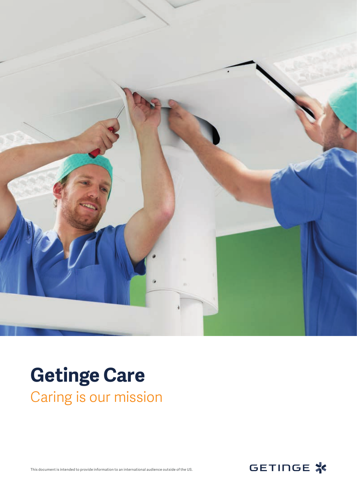

### **Getinge Care** Caring is our mission

This document is intended to provide information to an international audience outside of the US.

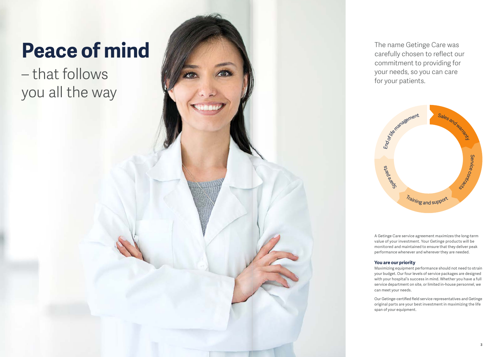A Getinge Care service agreement maximizes the long-term value of your investment. Your Getinge products will be monitored and maintained to ensure that they deliver peak performance whenever and wherever they are needed.

#### **You are our priority**



Maximizing equipment performance should not need to strain your budget. Our four levels of service packages are designed with your hospital's success in mind. Whether you have a full service department on site, or limited in-house personnel, we can meet your needs.

Our Getinge-certified field service representatives and Getinge original parts are your best investment in maximizing the life span of your equipment.

The name Getinge Care was carefully chosen to reflect our commitment to providing for your needs, so you can care for your patients.

# **Peace of mind**

– that follows you all the way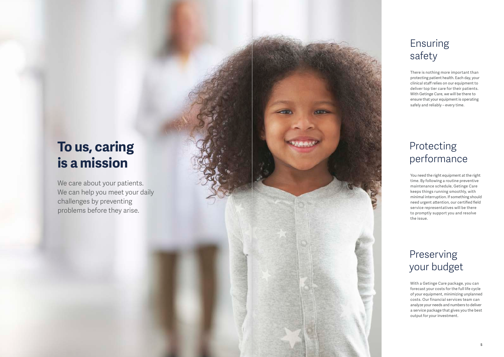### Ensuring safety

There is nothing more important than protecting patient health. Each day, your clinical staff relies on our equipment to deliver top tier care for their patients. With Getinge Care, we will be there to ensure that your equipment is operating safely and reliably – every time.

### Protecting performance

We care about your patients. We can help you meet your daily challenges by preventing problems before they arise.

You need the right equipment at the right time. By following a routine preventive maintenance schedule, Getinge Care keeps things running smoothly, with minimal interruption. If something should need urgent attention, our certified field service representatives will be there to promptly support you and resolve the issue.

### Preserving your budget

## **To us, caring is a mission**

With a Getinge Care package, you can forecast your costs for the full life cycle of your equipment, minimizing unplanned costs. Our financial services team can analyze your needs and numbers to deliver a service package that gives you the best output for your investment.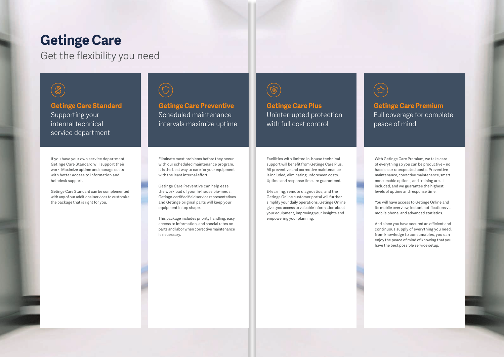### **Getinge Care**

Get the flexibility you need

### $\bigcircledS$

**Getinge Care Preventive** Scheduled maintenance intervals maximize uptime

**Getinge Care Standard** Supporting your internal technical service department

#### **Getinge Care Premium** Full coverage for complete peace of mind

**Getinge Care Plus** Uninterrupted protection with full cost control

Eliminate most problems before they occur with our scheduled maintenance program. It is the best way to care for your equipment with the least internal effort.

Getinge Care Preventive can help ease the workload of your in-house bio-meds. Getinge-certified field service representatives and Getinge original parts will keep your equipment in top shape.

This package includes priority handling, easy access to information, and special rates on parts and labor when corrective maintenance is necessary.



If you have your own service department, Getinge Care Standard will support their work. Maximize uptime and manage costs with better access to information and helpdesk support.

Getinge Care Standard can be complemented with any of our additional services to customize the package that is right for you.



With Getinge Care Premium, we take care of everything so you can be productive – no hassles or unexpected costs. Preventive maintenance, corrective maintenance, smart consumable options, and training are all included, and we guarantee the highest levels of uptime and response time.

You will have access to Getinge Online and its mobile overview, instant notifications via mobile phone, and advanced statistics.

And since you have secured an efficient and continuous supply of everything you need, from knowledge to consumables, you can enjoy the peace of mind of knowing that you have the best possible service setup.



Facilities with limited in-house technical support will benefit from Getinge Care Plus. All preventive and corrective maintenance is included, eliminating unforeseen costs. Uptime and response time are guaranteed.

E-learning, remote diagnostics, and the Getinge Online customer portal will further simplify your daily operations. Getinge Online gives you access to valuable information about your equipment, improving your insights and empowering your planning.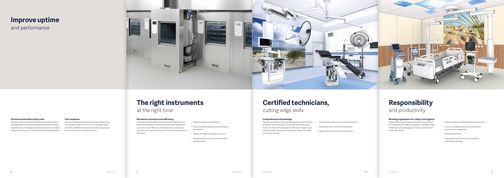### **The right instruments** at the right time

## **Certified technicians,**

cutting-edge skills

#### **Comprehensive knowledge**

Getinge certified service representatives know the latest products, tools and parts, and can quickly resolve your issues. Thanks to the Getinge Certification Program, our representatives can quickly identify problems and often solve them directly.

- Empowered, expert service representatives
- Rapid restoration of device availability
- Highest levels of customer satisfaction

### **Responsibility** and productivity

#### **Meeting regulations for safety and hygiene**

Hospitals have strict legal and facility requirements for maintenance, safety and hygiene. A flexible range of Getinge Care packages can help you meet these important needs.

- Improve uptime, reliability and quality of care
- Ensure compliance with local and facility maintenance regulations
- Reduce downtime
- Adjustable services meet your medical technology strategy

#### **Prevent issues before they arise**

Save time and money with the powerful analytic tools in Getinge Online. By monitoring the data stream from your equipment, your Getinge Care representative can foresee issues before they occur, limiting unscheduled downtime.

#### **Fast response**

Proactive maintenance prevents most problems, but sometimes issues can occur. The Getinge Online real-time notification system will notify you and your service provider for immediate action.

## **Improve uptime**

and performance



#### **Maximize outcomes and efficiency**

Clinicians need the right instruments at the right time, but they cannot deliver premium care when their equipment is out of service. With your Getinge Care package, we can help you maximize patient outcomes and operational efficiency.

- Optimize safety and efficiency
- Ensure the best equipment performance and uptime
- Deliver the highest standards of care
- Get the most from your equipment with the least work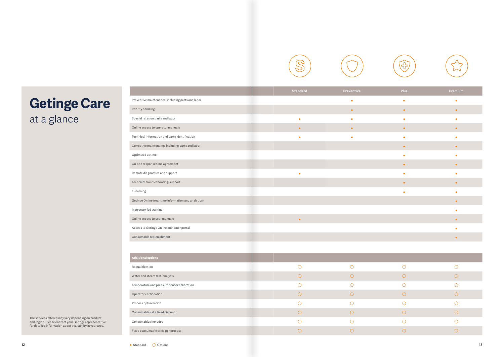



| entive    | Plus      | Premium   |
|-----------|-----------|-----------|
| $\bullet$ | $\bullet$ | $\bullet$ |
| $\bullet$ | $\bullet$ | $\bullet$ |
| $\bullet$ | $\bullet$ | $\bullet$ |
| $\bullet$ | $\bullet$ | $\bullet$ |
| $\bullet$ | $\bullet$ | $\bullet$ |
|           | $\bullet$ | $\bullet$ |
|           | $\bullet$ | $\bullet$ |
|           | $\bullet$ | $\bullet$ |
|           | $\bullet$ | $\bullet$ |
|           | $\bullet$ | $\bullet$ |
|           | $\bullet$ | $\bullet$ |
|           |           | $\bullet$ |
|           |           | $\bullet$ |
|           |           | $\bullet$ |
|           |           | $\bullet$ |
|           |           | $\bullet$ |

| $\bigcirc$ | $\bigcirc$ |
|------------|------------|
| $\bigcirc$ | $\bigcirc$ |
| $\bigcirc$ | O          |
| $\bigcirc$ | $\bigcirc$ |
| $\bigcirc$ | $\bigcirc$ |
| $\bigcirc$ | $\bigcirc$ |
| ∩          | ∩          |
| €          | n          |
|            |            |





# **Getinge Care**

at a glance

|                                                      | <b>Standard</b> | Preventive | <b>Plus</b> | Premium    |
|------------------------------------------------------|-----------------|------------|-------------|------------|
| Preventive maintenance, including parts and labor    |                 | $\bullet$  | $\bullet$   | $\bullet$  |
| Priority handling                                    |                 | $\bullet$  | $\bullet$   | $\bullet$  |
| Special rates on parts and labor                     | $\bullet$       | $\bullet$  | $\bullet$   | $\bullet$  |
| Online access to operator manuals                    | $\bullet$       | $\bullet$  | $\bullet$   | $\bullet$  |
| Technical information and parts identification       | $\bullet$       | $\bullet$  | $\bullet$   | $\bullet$  |
| Corrective maintenance including parts and labor     |                 |            | $\bullet$   | $\bullet$  |
| Optimized uptime                                     |                 |            | $\bullet$   | $\bullet$  |
| On-site response time agreement                      |                 |            | $\bullet$   | $\bullet$  |
| Remote diagnostics and support                       | $\bullet$       |            | $\bullet$   | $\bullet$  |
| Technical troubleshooting/support                    |                 |            | $\bullet$   | $\bullet$  |
| E-learning                                           |                 |            | $\bullet$   | $\bullet$  |
| Getinge Online (real-time information and analytics) |                 |            |             | $\bullet$  |
| Instructor-led training                              |                 |            |             | $\bullet$  |
| Online access to user manuals                        | $\bullet$       |            |             | $\bullet$  |
| Access to Getinge Online customer portal             |                 |            |             | ٠          |
| Consumable replenishment                             |                 |            |             | $\bullet$  |
|                                                      |                 |            |             |            |
| <b>Additional options</b>                            |                 |            |             |            |
| Requalification                                      | $\bigcirc$      | $\bigcirc$ | $\bigcirc$  | O          |
| Water and steam test/analysis                        | $\bigcirc$      | $\bigcirc$ | $\bigcirc$  | $\bigcirc$ |
| Temperature and pressure sensor calibration          | $\bigcirc$      | $\bigcirc$ | $\bigcirc$  | $\bigcirc$ |
| Operator certification                               | $\bigcirc$      | $\bigcirc$ | $\bigcirc$  | $\bigcirc$ |
| Process optimization                                 | $\bigcirc$      | $\bigcirc$ | $\bigcirc$  | $\bigcirc$ |
| Consumables at a fixed discount                      | $\bigcirc$      | $\bigcirc$ | $\bigcirc$  | $\bigcirc$ |
| Consumables included                                 | $\bigcirc$      | $\bigcirc$ | $\bigcirc$  | $\bigcirc$ |
| Fixed consumable price per process                   | $\bigcirc$      | $\bigcirc$ | $\bigcirc$  | $\bigcirc$ |
|                                                      |                 |            |             |            |

The services offered may vary depending on product and region. Please contact your Getinge representative for detailed information about availability in your area.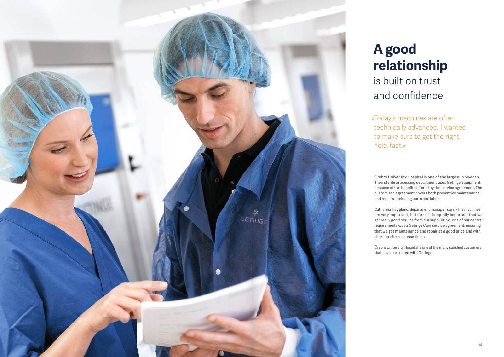

### **A good relationship** is built on trust and confidence

Örebro University Hospital is one of the largest in Sweden. Their sterile processing department uses Getinge equipment because of the benefits offered by the service agreement. The customized agreement covers both preventive maintenance and repairs, including parts and labor.

Catharina Hägglund, department manager, says, »The machines are very important, but for us it is equally important that we get really good service from our supplier. So, one of our central requirements was a Getinge Care service agreement, ensuring that we get maintenance and repair at a good price and with short on-site response time.«

Örebro University Hospital is one of the many satisfied customers that have partnered with Getinge.

» Today's machines are often technically advanced. I wanted to make sure to get the right help, fast.«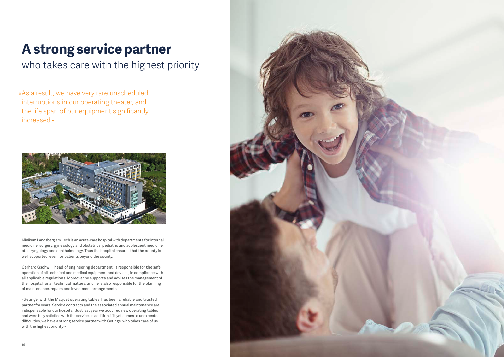Klinikum Landsberg am Lech is an acute-care hospital with departments for internal medicine, surgery, gynecology and obstetrics, pediatric and adolescent medicine, otolaryngology and ophthalmology. Thus the hospital ensures that the county is well supported, even for patients beyond the county.

Gerhard Gschwill, head of engineering department, is responsible for the safe operation of all technical and medical equipment and devices, in compliance with all applicable regulations. Moreover he supports and advises the management of the hospital for all technical matters, and he is also responsible for the planning of maintenance, repairs and investment arrangements.

»Getinge, with the Maquet operating tables, has been a reliable and trusted partner for years. Service contracts and the associated annual maintenance are indispensable for our hospital. Just last year we acquired new operating tables and were fully satisfied with the service. In addition, if it yet comes to unexpected difficulties, we have a strong service partner with Getinge, who takes care of us with the highest priority.«



# **A strong service partner**

who takes care with the highest priority

»As a result, we have very rare unscheduled interruptions in our operating theater, and the life span of our equipment significantly increased.«

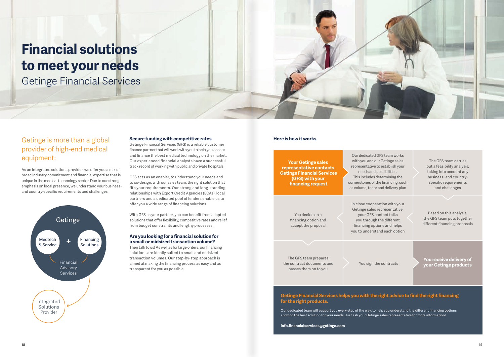### **Financial solutions to meet your needs**

Getinge Financial Services

#### **Secure funding with competitive rates**

Getinge Financial Services (GFS) is a reliable customer finance partner that will work with you to help you access and finance the best medical technology on the market. Our experienced financial analysts have a successful track record of working with public and private hospitals.

GFS acts as an enabler, to understand your needs and to co-design, with our sales team, the right solution that fits your requirements. Our strong and long-standing relationships with Export Credit Agencies (ECAs), local partners and a dedicated pool of lenders enable us to offer you a wide range of financing solutions.

With GFS as your partner, you can benefit from adapted solutions that offer flexibility, competitive rates and relief from budget constraints and lengthy processes.

#### **Are you looking for a financial solution for a small or midsized transaction volume?**

Then talk to us! As well as for large orders, our financing solutions are ideally suited to small and midsized transaction volumes. Our step-by-step approach is aimed at making the financing process as easy and as transparent for you as possible.



#### Getinge is more than a global provider of high-end medical equipment:

As an integrated solutions provider, we offer you a mix of broad industry commitment and financial expertise that is unique in the medical technology sector. Due to our strong emphasis on local presence, we understand your businessand country-specific requirements and challenges.

#### **Here is how it works**

**You receive delivery of your Getinge products** You sign the contracts

The GFS team prepares the contract documents and passes them on to you

You decide on a financing option and accept the proposal In close cooperation with your Getinge sales representative, your GFS contact talks you through the different financing options and helps you to understand each option

Based on this analysis, the GFS team puts together different financing proposals

The GFS team carries out a feasibility analysis, taking into account any business- and countryspecific requirements and challenges

Our dedicated GFS team works with you and our Getinge sales representative to establish your needs and possibilities. This includes determining the cornerstones of the financing, such as volume, tenor and delivery plan

**Your Getinge sales representative contacts Getinge Financial Services (GFS) with your financing request**

#### **Getinge Financial Services helps you with the right advice to find the right financing for the right products.**

Our dedicated team will support you every step of the way, to help you understand the different financing options and find the best solution for your needs. Just ask your Getinge sales representative for more information!

**info.financialservices@getinge.com**